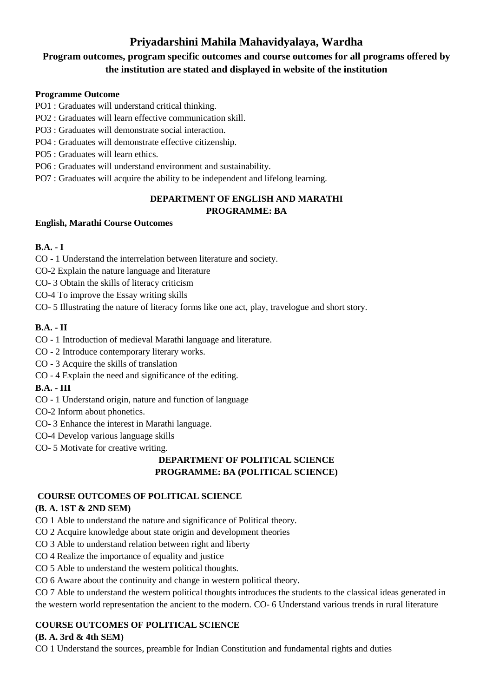# **Priyadarshini Mahila Mahavidyalaya, Wardha**

# **Program outcomes, program specific outcomes and course outcomes for all programs offered by the institution are stated and displayed in website of the institution**

## **Programme Outcome**

- PO1 : Graduates will understand critical thinking.
- PO2 : Graduates will learn effective communication skill.
- PO3 : Graduates will demonstrate social interaction.
- PO4 : Graduates will demonstrate effective citizenship.

PO5 : Graduates will learn ethics.

- PO6 : Graduates will understand environment and sustainability.
- PO7 : Graduates will acquire the ability to be independent and lifelong learning.

# **DEPARTMENT OF ENGLISH AND MARATHI PROGRAMME: BA**

### **English, Marathi Course Outcomes**

# **B.A. - I**

- CO 1 Understand the interrelation between literature and society.
- CO-2 Explain the nature language and literature
- CO- 3 Obtain the skills of literacy criticism
- CO-4 To improve the Essay writing skills

CO- 5 Illustrating the nature of literacy forms like one act, play, travelogue and short story.

# **B.A. - II**

- CO 1 Introduction of medieval Marathi language and literature.
- CO 2 Introduce contemporary literary works.
- CO 3 Acquire the skills of translation
- CO 4 Explain the need and significance of the editing.

# **B.A. - III**

- CO 1 Understand origin, nature and function of language
- CO-2 Inform about phonetics.
- CO- 3 Enhance the interest in Marathi language.
- CO-4 Develop various language skills
- CO- 5 Motivate for creative writing.

# **DEPARTMENT OF POLITICAL SCIENCE PROGRAMME: BA (POLITICAL SCIENCE)**

# **COURSE OUTCOMES OF POLITICAL SCIENCE**

# **(B. A. 1ST & 2ND SEM)**

- CO 1 Able to understand the nature and significance of Political theory.
- CO 2 Acquire knowledge about state origin and development theories
- CO 3 Able to understand relation between right and liberty
- CO 4 Realize the importance of equality and justice
- CO 5 Able to understand the western political thoughts.
- CO 6 Aware about the continuity and change in western political theory.

CO 7 Able to understand the western political thoughts introduces the students to the classical ideas generated in the western world representation the ancient to the modern. CO- 6 Understand various trends in rural literature

# **COURSE OUTCOMES OF POLITICAL SCIENCE**

# **(B. A. 3rd & 4th SEM)**

CO 1 Understand the sources, preamble for Indian Constitution and fundamental rights and duties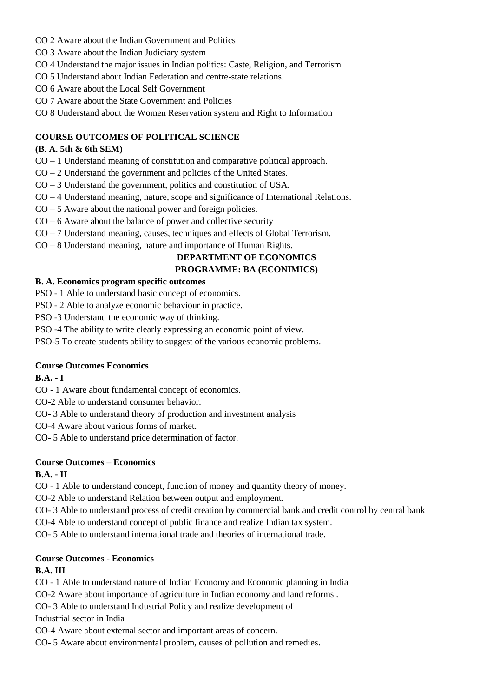- CO 2 Aware about the Indian Government and Politics
- CO 3 Aware about the Indian Judiciary system
- CO 4 Understand the major issues in Indian politics: Caste, Religion, and Terrorism
- CO 5 Understand about Indian Federation and centre-state relations.
- CO 6 Aware about the Local Self Government
- CO 7 Aware about the State Government and Policies
- CO 8 Understand about the Women Reservation system and Right to Information

### **COURSE OUTCOMES OF POLITICAL SCIENCE**

## **(B. A. 5th & 6th SEM)**

- CO 1 Understand meaning of constitution and comparative political approach.
- CO 2 Understand the government and policies of the United States.
- CO 3 Understand the government, politics and constitution of USA.
- CO 4 Understand meaning, nature, scope and significance of International Relations.
- $CO 5$  Aware about the national power and foreign policies.
- CO 6 Aware about the balance of power and collective security
- CO 7 Understand meaning, causes, techniques and effects of Global Terrorism.
- CO 8 Understand meaning, nature and importance of Human Rights.

#### **DEPARTMENT OF ECONOMICS PROGRAMME: BA (ECONIMICS)**

#### **B. A. Economics program specific outcomes**

- PSO 1 Able to understand basic concept of economics.
- PSO 2 Able to analyze economic behaviour in practice.
- PSO -3 Understand the economic way of thinking.
- PSO -4 The ability to write clearly expressing an economic point of view.
- PSO-5 To create students ability to suggest of the various economic problems.

### **Course Outcomes Economics**

### **B.A. - I**

- CO 1 Aware about fundamental concept of economics.
- CO-2 Able to understand consumer behavior.
- CO- 3 Able to understand theory of production and investment analysis
- CO-4 Aware about various forms of market.
- CO- 5 Able to understand price determination of factor.

### **Course Outcomes – Economics**

### **B.A. - II**

CO - 1 Able to understand concept, function of money and quantity theory of money.

CO-2 Able to understand Relation between output and employment.

CO- 3 Able to understand process of credit creation by commercial bank and credit control by central bank

CO-4 Able to understand concept of public finance and realize Indian tax system.

CO- 5 Able to understand international trade and theories of international trade.

### **Course Outcomes - Economics**

### **B.A. III**

CO - 1 Able to understand nature of Indian Economy and Economic planning in India

- CO-2 Aware about importance of agriculture in Indian economy and land reforms .
- CO- 3 Able to understand Industrial Policy and realize development of

Industrial sector in India

CO-4 Aware about external sector and important areas of concern.

CO- 5 Aware about environmental problem, causes of pollution and remedies.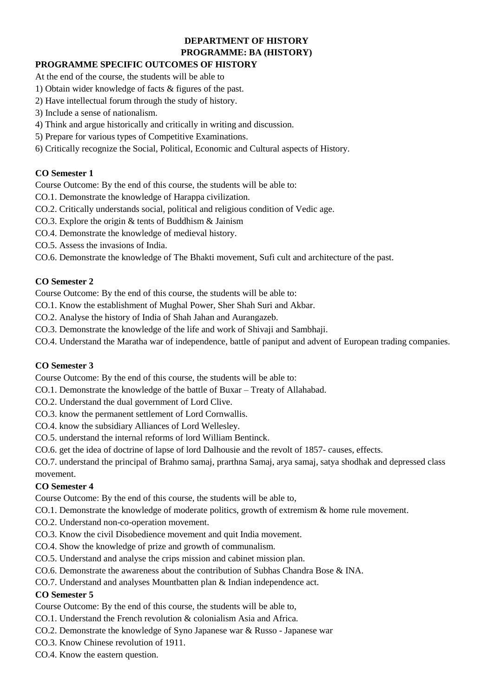# **DEPARTMENT OF HISTORY PROGRAMME: BA (HISTORY)**

# **PROGRAMME SPECIFIC OUTCOMES OF HISTORY**

- At the end of the course, the students will be able to
- 1) Obtain wider knowledge of facts & figures of the past.
- 2) Have intellectual forum through the study of history.
- 3) Include a sense of nationalism.
- 4) Think and argue historically and critically in writing and discussion.
- 5) Prepare for various types of Competitive Examinations.
- 6) Critically recognize the Social, Political, Economic and Cultural aspects of History.

# **CO Semester 1**

Course Outcome: By the end of this course, the students will be able to:

- CO.1. Demonstrate the knowledge of Harappa civilization.
- CO.2. Critically understands social, political and religious condition of Vedic age.
- CO.3. Explore the origin & tents of Buddhism & Jainism
- CO.4. Demonstrate the knowledge of medieval history.
- CO.5. Assess the invasions of India.
- CO.6. Demonstrate the knowledge of The Bhakti movement, Sufi cult and architecture of the past.

## **CO Semester 2**

Course Outcome: By the end of this course, the students will be able to:

CO.1. Know the establishment of Mughal Power, Sher Shah Suri and Akbar.

CO.2. Analyse the history of India of Shah Jahan and Aurangazeb.

- CO.3. Demonstrate the knowledge of the life and work of Shivaji and Sambhaji.
- CO.4. Understand the Maratha war of independence, battle of paniput and advent of European trading companies.

# **CO Semester 3**

Course Outcome: By the end of this course, the students will be able to:

- CO.1. Demonstrate the knowledge of the battle of Buxar Treaty of Allahabad.
- CO.2. Understand the dual government of Lord Clive.
- CO.3. know the permanent settlement of Lord Cornwallis.
- CO.4. know the subsidiary Alliances of Lord Wellesley.
- CO.5. understand the internal reforms of lord William Bentinck.
- CO.6. get the idea of doctrine of lapse of lord Dalhousie and the revolt of 1857- causes, effects.

CO.7. understand the principal of Brahmo samaj, prarthna Samaj, arya samaj, satya shodhak and depressed class movement.

# **CO Semester 4**

Course Outcome: By the end of this course, the students will be able to,

- CO.1. Demonstrate the knowledge of moderate politics, growth of extremism & home rule movement.
- CO.2. Understand non-co-operation movement.
- CO.3. Know the civil Disobedience movement and quit India movement.
- CO.4. Show the knowledge of prize and growth of communalism.
- CO.5. Understand and analyse the crips mission and cabinet mission plan.
- CO.6. Demonstrate the awareness about the contribution of Subhas Chandra Bose & INA.
- CO.7. Understand and analyses Mountbatten plan & Indian independence act.

# **CO Semester 5**

Course Outcome: By the end of this course, the students will be able to,

- CO.1. Understand the French revolution & colonialism Asia and Africa.
- CO.2. Demonstrate the knowledge of Syno Japanese war & Russo Japanese war
- CO.3. Know Chinese revolution of 1911.
- CO.4. Know the eastern question.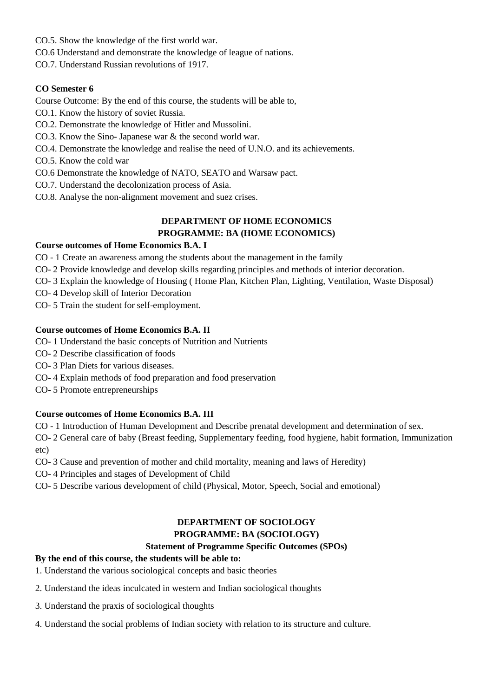CO.5. Show the knowledge of the first world war.

CO.6 Understand and demonstrate the knowledge of league of nations.

CO.7. Understand Russian revolutions of 1917.

### **CO Semester 6**

Course Outcome: By the end of this course, the students will be able to,

- CO.1. Know the history of soviet Russia.
- CO.2. Demonstrate the knowledge of Hitler and Mussolini.
- CO.3. Know the Sino- Japanese war & the second world war.
- CO.4. Demonstrate the knowledge and realise the need of U.N.O. and its achievements.
- CO.5. Know the cold war
- CO.6 Demonstrate the knowledge of NATO, SEATO and Warsaw pact.
- CO.7. Understand the decolonization process of Asia.
- CO.8. Analyse the non-alignment movement and suez crises.

# **DEPARTMENT OF HOME ECONOMICS PROGRAMME: BA (HOME ECONOMICS)**

### **Course outcomes of Home Economics B.A. I**

- CO 1 Create an awareness among the students about the management in the family
- CO- 2 Provide knowledge and develop skills regarding principles and methods of interior decoration.
- CO- 3 Explain the knowledge of Housing ( Home Plan, Kitchen Plan, Lighting, Ventilation, Waste Disposal)
- CO- 4 Develop skill of Interior Decoration

CO- 5 Train the student for self-employment.

### **Course outcomes of Home Economics B.A. II**

- CO- 1 Understand the basic concepts of Nutrition and Nutrients
- CO- 2 Describe classification of foods
- CO- 3 Plan Diets for various diseases.
- CO- 4 Explain methods of food preparation and food preservation
- CO- 5 Promote entrepreneurships

### **Course outcomes of Home Economics B.A. III**

CO - 1 Introduction of Human Development and Describe prenatal development and determination of sex.

CO- 2 General care of baby (Breast feeding, Supplementary feeding, food hygiene, habit formation, Immunization etc)

- CO- 3 Cause and prevention of mother and child mortality, meaning and laws of Heredity)
- CO- 4 Principles and stages of Development of Child
- CO- 5 Describe various development of child (Physical, Motor, Speech, Social and emotional)

#### **DEPARTMENT OF SOCIOLOGY PROGRAMME: BA (SOCIOLOGY)**

### **Statement of Programme Specific Outcomes (SPOs)**

# **By the end of this course, the students will be able to:**

- 1. Understand the various sociological concepts and basic theories
- 2. Understand the ideas inculcated in western and Indian sociological thoughts
- 3. Understand the praxis of sociological thoughts
- 4. Understand the social problems of Indian society with relation to its structure and culture.